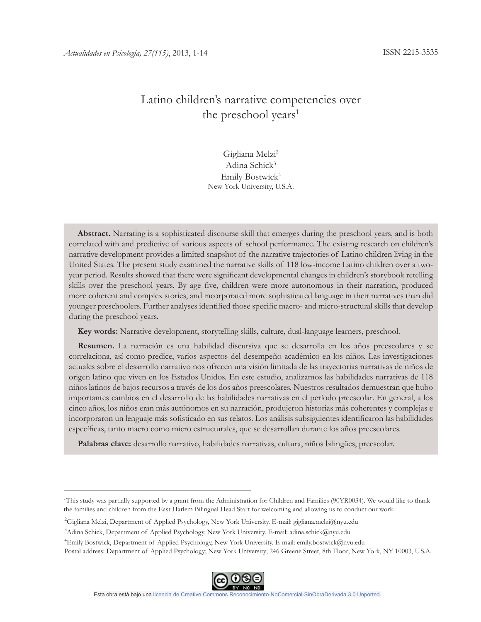# Latino children's narrative competencies over the preschool years<sup>1</sup>

# Gigliana Melzi<sup>2</sup> Adina Schick<sup>3</sup> Emily Bostwick<sup>4</sup> New York University, U.S.A.

**Abstract.** Narrating is a sophisticated discourse skill that emerges during the preschool years, and is both correlated with and predictive of various aspects of school performance. The existing research on children's narrative development provides a limited snapshot of the narrative trajectories of Latino children living in the United States. The present study examined the narrative skills of 118 low-income Latino children over a twoyear period. Results showed that there were significant developmental changes in children's storybook retelling skills over the preschool years. By age five, children were more autonomous in their narration, produced more coherent and complex stories, and incorporated more sophisticated language in their narratives than did younger preschoolers. Further analyses identified those specific macro- and micro-structural skills that develop during the preschool years.

**Key words:** Narrative development, storytelling skills, culture, dual-language learners, preschool.

**Resumen.** La narración es una habilidad discursiva que se desarrolla en los años preescolares y se correlaciona, así como predice, varios aspectos del desempeño académico en los niños. Las investigaciones actuales sobre el desarrollo narrativo nos ofrecen una visión limitada de las trayectorias narrativas de niños de origen latino que viven en los Estados Unidos. En este estudio, analizamos las habilidades narrativas de 118 niños latinos de bajos recursos a través de los dos años preescolares. Nuestros resultados demuestran que hubo importantes cambios en el desarrollo de las habilidades narrativas en el período preescolar. En general, a los cinco años, los niños eran más autónomos en su narración, produjeron historias más coherentes y complejas e incorporaron un lenguaje más sofisticado en sus relatos. Los análisis subsiguientes identificaron las habilidades específicas, tanto macro como micro estructurales, que se desarrollan durante los años preescolares.

**Palabras clave:** desarrollo narrativo, habilidades narrativas, cultura, niños bilingües, preescolar.

<sup>4</sup>Emily Bostwick, Department of Applied Psychology, New York University. E-mail: emily.bostwick@nyu.edu Postal address: Department of Applied Psychology; New York University; 246 Greene Street, 8th Floor; New York, NY 10003, U.S.A.



<sup>&</sup>lt;sup>1</sup>This study was partially supported by a grant from the Administration for Children and Families (90YR0034). We would like to thank the families and children from the East Harlem Bilingual Head Start for welcoming and allowing us to conduct our work.

<sup>&</sup>lt;sup>2</sup>Gigliana Melzi, Department of Applied Psychology, New York University. E-mail: gigliana.melzi@nyu.edu

<sup>3</sup>Adina Schick, Department of Applied Psychology, New York University. E-mail: adina.schick@nyu.edu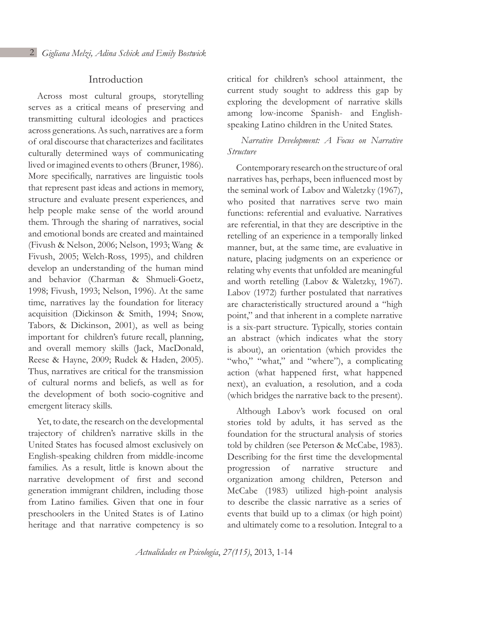# Introduction

Across most cultural groups, storytelling serves as a critical means of preserving and transmitting cultural ideologies and practices across generations. As such, narratives are a form of oral discourse that characterizes and facilitates culturally determined ways of communicating lived or imagined events to others (Bruner, 1986). More specifically, narratives are linguistic tools that represent past ideas and actions in memory, structure and evaluate present experiences, and help people make sense of the world around them. Through the sharing of narratives, social and emotional bonds are created and maintained (Fivush & Nelson, 2006; Nelson, 1993; Wang & Fivush, 2005; Welch-Ross, 1995), and children develop an understanding of the human mind and behavior (Charman & Shmueli-Goetz, 1998; Fivush, 1993; Nelson, 1996). At the same time, narratives lay the foundation for literacy acquisition (Dickinson & Smith, 1994; Snow, Tabors, & Dickinson, 2001), as well as being important for children's future recall, planning, and overall memory skills (Jack, MacDonald, Reese & Hayne, 2009; Rudek & Haden, 2005). Thus, narratives are critical for the transmission of cultural norms and beliefs, as well as for the development of both socio-cognitive and emergent literacy skills.

Yet, to date, the research on the developmental trajectory of children's narrative skills in the United States has focused almost exclusively on English-speaking children from middle-income families. As a result, little is known about the narrative development of first and second generation immigrant children, including those from Latino families. Given that one in four preschoolers in the United States is of Latino heritage and that narrative competency is so

critical for children's school attainment, the current study sought to address this gap by exploring the development of narrative skills among low-income Spanish- and Englishspeaking Latino children in the United States.

# *Narrative Development: A Focus on Narrative Structure*

Contemporary research on the structure of oral narratives has, perhaps, been influenced most by the seminal work of Labov and Waletzky (1967), who posited that narratives serve two main functions: referential and evaluative. Narratives are referential, in that they are descriptive in the retelling of an experience in a temporally linked manner, but, at the same time, are evaluative in nature, placing judgments on an experience or relating why events that unfolded are meaningful and worth retelling (Labov & Waletzky, 1967). Labov (1972) further postulated that narratives are characteristically structured around a "high point," and that inherent in a complete narrative is a six-part structure. Typically, stories contain an abstract (which indicates what the story is about), an orientation (which provides the "who," "what," and "where"), a complicating action (what happened first, what happened next), an evaluation, a resolution, and a coda (which bridges the narrative back to the present).

Although Labov's work focused on oral stories told by adults, it has served as the foundation for the structural analysis of stories told by children (see Peterson & McCabe, 1983). Describing for the first time the developmental progression of narrative structure and organization among children, Peterson and McCabe (1983) utilized high-point analysis to describe the classic narrative as a series of events that build up to a climax (or high point) and ultimately come to a resolution. Integral to a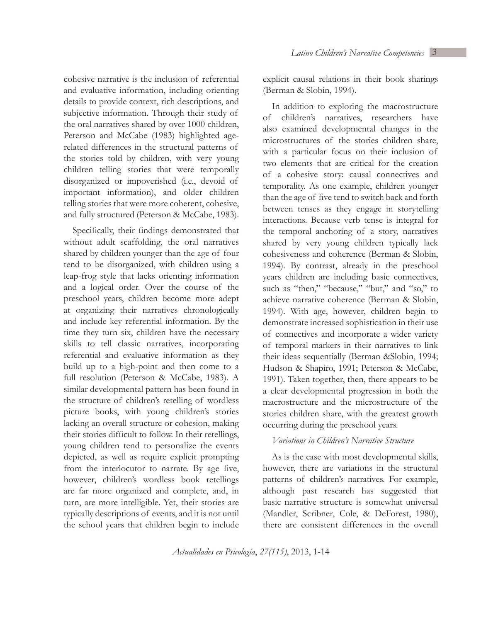cohesive narrative is the inclusion of referential and evaluative information, including orienting details to provide context, rich descriptions, and subjective information. Through their study of the oral narratives shared by over 1000 children, Peterson and McCabe (1983) highlighted agerelated differences in the structural patterns of the stories told by children, with very young children telling stories that were temporally disorganized or impoverished (i.e., devoid of important information), and older children telling stories that were more coherent, cohesive, and fully structured (Peterson & McCabe, 1983).

Specifically, their findings demonstrated that without adult scaffolding, the oral narratives shared by children younger than the age of four tend to be disorganized, with children using a leap-frog style that lacks orienting information and a logical order. Over the course of the preschool years, children become more adept at organizing their narratives chronologically and include key referential information. By the time they turn six, children have the necessary skills to tell classic narratives, incorporating referential and evaluative information as they build up to a high-point and then come to a full resolution (Peterson & McCabe, 1983). A similar developmental pattern has been found in the structure of children's retelling of wordless picture books, with young children's stories lacking an overall structure or cohesion, making their stories difficult to follow. In their retellings, young children tend to personalize the events depicted, as well as require explicit prompting from the interlocutor to narrate. By age five, however, children's wordless book retellings are far more organized and complete, and, in turn, are more intelligible. Yet, their stories are typically descriptions of events, and it is not until the school years that children begin to include

explicit causal relations in their book sharings (Berman & Slobin, 1994).

In addition to exploring the macrostructure of children's narratives, researchers have also examined developmental changes in the microstructures of the stories children share, with a particular focus on their inclusion of two elements that are critical for the creation of a cohesive story: causal connectives and temporality. As one example, children younger than the age of five tend to switch back and forth between tenses as they engage in storytelling interactions. Because verb tense is integral for the temporal anchoring of a story, narratives shared by very young children typically lack cohesiveness and coherence (Berman & Slobin, 1994). By contrast, already in the preschool years children are including basic connectives, such as "then," "because," "but," and "so," to achieve narrative coherence (Berman & Slobin, 1994). With age, however, children begin to demonstrate increased sophistication in their use of connectives and incorporate a wider variety of temporal markers in their narratives to link their ideas sequentially (Berman &Slobin, 1994; Hudson & Shapiro, 1991; Peterson & McCabe, 1991). Taken together, then, there appears to be a clear developmental progression in both the macrostructure and the microstructure of the stories children share, with the greatest growth occurring during the preschool years.

### *Variations in Children's Narrative Structure*

As is the case with most developmental skills, however, there are variations in the structural patterns of children's narratives. For example, although past research has suggested that basic narrative structure is somewhat universal (Mandler, Scribner, Cole, & DeForest, 1980), there are consistent differences in the overall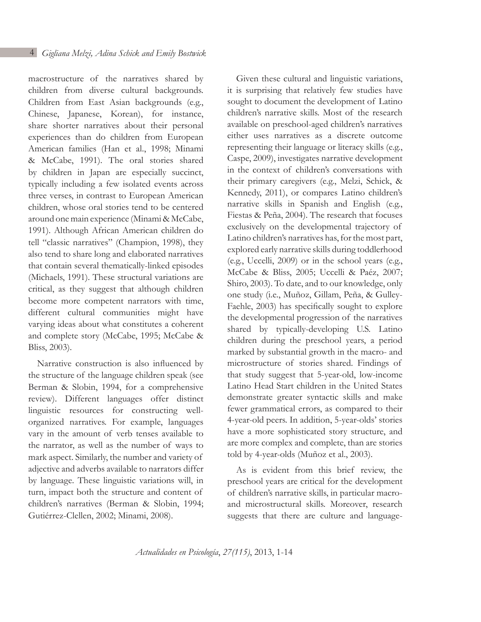macrostructure of the narratives shared by children from diverse cultural backgrounds. Children from East Asian backgrounds (e.g., Chinese, Japanese, Korean), for instance, share shorter narratives about their personal experiences than do children from European American families (Han et al., 1998; Minami & McCabe, 1991). The oral stories shared by children in Japan are especially succinct, typically including a few isolated events across three verses, in contrast to European American children, whose oral stories tend to be centered around one main experience (Minami & McCabe, 1991). Although African American children do tell "classic narratives" (Champion, 1998), they also tend to share long and elaborated narratives that contain several thematically-linked episodes (Michaels, 1991). These structural variations are critical, as they suggest that although children become more competent narrators with time, different cultural communities might have varying ideas about what constitutes a coherent and complete story (McCabe, 1995; McCabe & Bliss, 2003).

Narrative construction is also influenced by the structure of the language children speak (see Berman & Slobin, 1994, for a comprehensive review). Different languages offer distinct linguistic resources for constructing wellorganized narratives. For example, languages vary in the amount of verb tenses available to the narrator, as well as the number of ways to mark aspect. Similarly, the number and variety of adjective and adverbs available to narrators differ by language. These linguistic variations will, in turn, impact both the structure and content of children's narratives (Berman & Slobin, 1994; Gutiérrez-Clellen, 2002; Minami, 2008).

Given these cultural and linguistic variations, it is surprising that relatively few studies have sought to document the development of Latino children's narrative skills. Most of the research available on preschool-aged children's narratives either uses narratives as a discrete outcome representing their language or literacy skills (e.g., Caspe, 2009), investigates narrative development in the context of children's conversations with their primary caregivers (e.g., Melzi, Schick, & Kennedy, 2011), or compares Latino children's narrative skills in Spanish and English (e.g., Fiestas & Peña, 2004). The research that focuses exclusively on the developmental trajectory of Latino children's narratives has, for the most part, explored early narrative skills during toddlerhood (e.g., Uccelli, 2009) or in the school years (e.g., McCabe & Bliss, 2005; Uccelli & Paéz, 2007; Shiro, 2003). To date, and to our knowledge, only one study (i.e., Muñoz, Gillam, Peña, & Gulley-Faehle, 2003) has specifically sought to explore the developmental progression of the narratives shared by typically-developing U.S. Latino children during the preschool years, a period marked by substantial growth in the macro- and microstructure of stories shared. Findings of that study suggest that 5-year-old, low-income Latino Head Start children in the United States demonstrate greater syntactic skills and make fewer grammatical errors, as compared to their 4-year-old peers. In addition, 5-year-olds' stories have a more sophisticated story structure, and are more complex and complete, than are stories told by 4-year-olds (Muñoz et al., 2003).

As is evident from this brief review, the preschool years are critical for the development of children's narrative skills, in particular macroand microstructural skills. Moreover, research suggests that there are culture and language-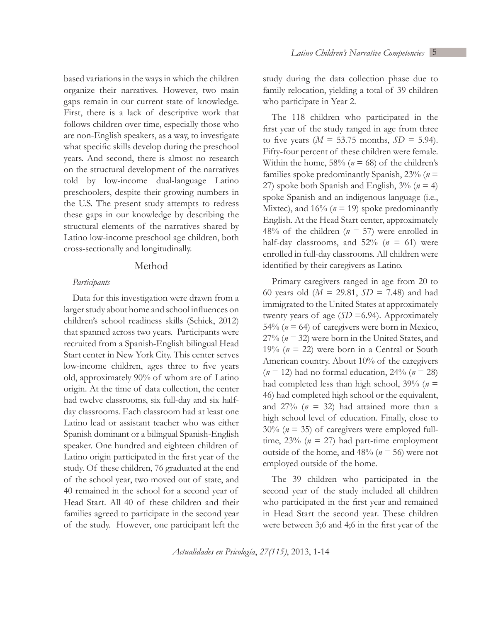based variations in the ways in which the children organize their narratives. However, two main gaps remain in our current state of knowledge. First, there is a lack of descriptive work that follows children over time, especially those who are non-English speakers, as a way, to investigate what specific skills develop during the preschool years. And second, there is almost no research on the structural development of the narratives told by low-income dual-language Latino preschoolers, despite their growing numbers in the U.S. The present study attempts to redress these gaps in our knowledge by describing the structural elements of the narratives shared by Latino low-income preschool age children, both cross-sectionally and longitudinally.

#### Method

### *Participants*

Data for this investigation were drawn from a larger study about home and school influences on children's school readiness skills (Schick, 2012) that spanned across two years. Participants were recruited from a Spanish-English bilingual Head Start center in New York City. This center serves low-income children, ages three to five years old, approximately 90% of whom are of Latino origin. At the time of data collection, the center had twelve classrooms, six full-day and six halfday classrooms. Each classroom had at least one Latino lead or assistant teacher who was either Spanish dominant or a bilingual Spanish-English speaker. One hundred and eighteen children of Latino origin participated in the first year of the study. Of these children, 76 graduated at the end of the school year, two moved out of state, and 40 remained in the school for a second year of Head Start. All 40 of these children and their families agreed to participate in the second year of the study. However, one participant left the

study during the data collection phase due to family relocation, yielding a total of 39 children who participate in Year 2.

The 118 children who participated in the first year of the study ranged in age from three to five years  $(M = 53.75$  months,  $SD = 5.94$ ). Fifty-four percent of these children were female. Within the home,  $58\%$  ( $n = 68$ ) of the children's families spoke predominantly Spanish, 23% (*n* = 27) spoke both Spanish and English,  $3\%$  ( $n = 4$ ) spoke Spanish and an indigenous language (i.e., Mixtec), and  $16\%$  ( $n = 19$ ) spoke predominantly English. At the Head Start center, approximately 48% of the children ( $n = 57$ ) were enrolled in half-day classrooms, and  $52\%$  ( $n = 61$ ) were enrolled in full-day classrooms. All children were identified by their caregivers as Latino.

Primary caregivers ranged in age from 20 to 60 years old (*M* = 29.81, *SD* = 7.48) and had immigrated to the United States at approximately twenty years of age  $(SD = 6.94)$ . Approximately 54% ( $n = 64$ ) of caregivers were born in Mexico, 27% (*n* = 32) were born in the United States, and 19% ( $n = 22$ ) were born in a Central or South American country. About 10% of the caregivers  $(n = 12)$  had no formal education, 24%  $(n = 28)$ had completed less than high school,  $39\%$  ( $n =$ 46) had completed high school or the equivalent, and  $27\%$  ( $n = 32$ ) had attained more than a high school level of education. Finally, close to 30% (*n* = 35) of caregivers were employed fulltime,  $23\%$  ( $n = 27$ ) had part-time employment outside of the home, and  $48\%$  ( $n = 56$ ) were not employed outside of the home.

The 39 children who participated in the second year of the study included all children who participated in the first year and remained in Head Start the second year. These children were between 3;6 and 4;6 in the first year of the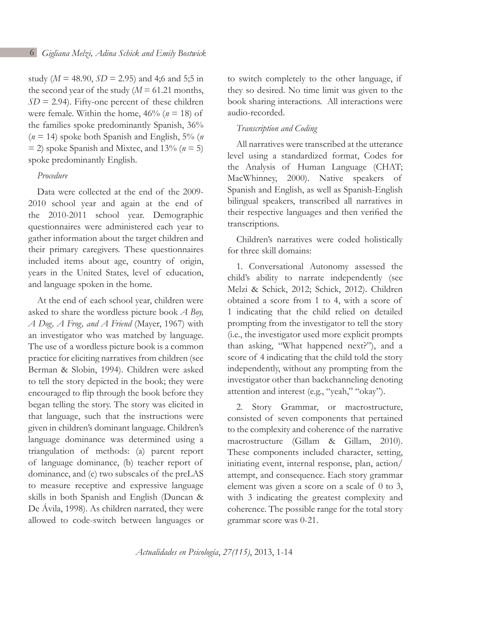study ( $M = 48.90$ ,  $SD = 2.95$ ) and 4;6 and 5;5 in the second year of the study  $(M = 61.21$  months,  $SD = 2.94$ ). Fifty-one percent of these children were female. Within the home,  $46\%$  ( $n = 18$ ) of the families spoke predominantly Spanish, 36%  $(n = 14)$  spoke both Spanish and English, 5% (*n*)  $=$  2) spoke Spanish and Mixtec, and 13% ( $n = 5$ ) spoke predominantly English.

# *Procedure*

Data were collected at the end of the 2009- 2010 school year and again at the end of the 2010-2011 school year. Demographic questionnaires were administered each year to gather information about the target children and their primary caregivers. These questionnaires included items about age, country of origin, years in the United States, level of education, and language spoken in the home.

At the end of each school year, children were asked to share the wordless picture book *A Boy, A Dog, A Frog, and A Friend* (Mayer, 1967) with an investigator who was matched by language. The use of a wordless picture book is a common practice for eliciting narratives from children (see Berman & Slobin, 1994). Children were asked to tell the story depicted in the book; they were encouraged to flip through the book before they began telling the story. The story was elicited in that language, such that the instructions were given in children's dominant language. Children's language dominance was determined using a triangulation of methods: (a) parent report of language dominance, (b) teacher report of dominance, and (c) two subscales of the preLAS to measure receptive and expressive language skills in both Spanish and English (Duncan & De Ávila, 1998). As children narrated, they were allowed to code-switch between languages or to switch completely to the other language, if they so desired. No time limit was given to the book sharing interactions. All interactions were audio-recorded.

## *Transcription and Coding*

All narratives were transcribed at the utterance level using a standardized format, Codes for the Analysis of Human Language (CHAT; MacWhinney, 2000). Native speakers of Spanish and English, as well as Spanish-English bilingual speakers, transcribed all narratives in their respective languages and then verified the transcriptions.

Children's narratives were coded holistically for three skill domains:

1. Conversational Autonomy assessed the child's ability to narrate independently (see Melzi & Schick, 2012; Schick, 2012). Children obtained a score from 1 to 4, with a score of 1 indicating that the child relied on detailed prompting from the investigator to tell the story (i.e., the investigator used more explicit prompts than asking, "What happened next?"), and a score of 4 indicating that the child told the story independently, without any prompting from the investigator other than backchanneling denoting attention and interest (e.g., "yeah," "okay").

2. Story Grammar, or macrostructure, consisted of seven components that pertained to the complexity and coherence of the narrative macrostructure (Gillam & Gillam, 2010). These components included character, setting, initiating event, internal response, plan, action/ attempt, and consequence. Each story grammar element was given a score on a scale of 0 to 3, with 3 indicating the greatest complexity and coherence. The possible range for the total story grammar score was 0-21.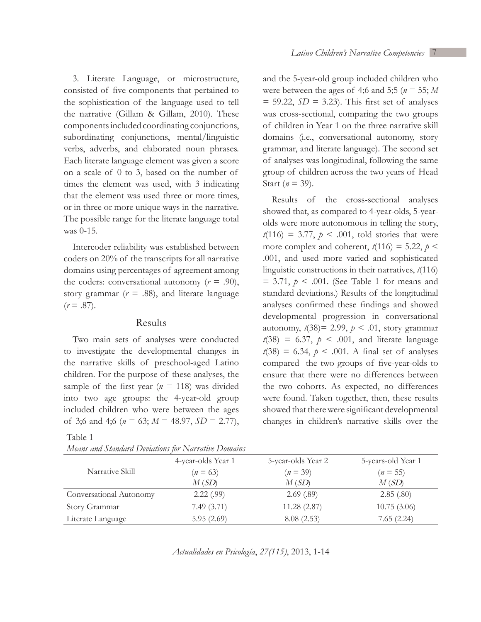3. Literate Language, or microstructure, consisted of five components that pertained to the sophistication of the language used to tell the narrative (Gillam & Gillam, 2010). These components included coordinating conjunctions, subordinating conjunctions, mental/linguistic verbs, adverbs, and elaborated noun phrases. Each literate language element was given a score on a scale of 0 to 3, based on the number of times the element was used, with 3 indicating that the element was used three or more times, or in three or more unique ways in the narrative. The possible range for the literate language total was 0-15.

Intercoder reliability was established between coders on 20% of the transcripts for all narrative domains using percentages of agreement among the coders: conversational autonomy  $(r = .90)$ , story grammar ( $r = .88$ ), and literate language  $(r = .87)$ .

#### Results

Two main sets of analyses were conducted to investigate the developmental changes in the narrative skills of preschool-aged Latino children. For the purpose of these analyses, the sample of the first year ( $n = 118$ ) was divided into two age groups: the 4-year-old group included children who were between the ages of 3;6 and 4;6 ( $n = 63$ ;  $M = 48.97$ ,  $SD = 2.77$ ),

#### Table 1

|  |  |  | Means and Standard Deviations for Narrative Domains |  |
|--|--|--|-----------------------------------------------------|--|
|--|--|--|-----------------------------------------------------|--|

and the 5-year-old group included children who were between the ages of 4;6 and 5;5 (*n* = 55; *M*   $= 59.22$ ,  $SD = 3.23$ ). This first set of analyses was cross-sectional, comparing the two groups of children in Year 1 on the three narrative skill domains (i.e., conversational autonomy, story grammar, and literate language). The second set of analyses was longitudinal, following the same group of children across the two years of Head Start ( $n = 39$ ).

Results of the cross-sectional analyses showed that, as compared to 4-year-olds, 5-yearolds were more autonomous in telling the story,  $t(116) = 3.77, p \le .001$ , told stories that were more complex and coherent,  $t(116) = 5.22$ ,  $p \le$ .001, and used more varied and sophisticated linguistic constructions in their narratives, *t*(116)  $= 3.71, p \leq .001$ . (See Table 1 for means and standard deviations.) Results of the longitudinal analyses confirmed these findings and showed developmental progression in conversational autonomy,  $t(38)=2.99$ ,  $p < .01$ , story grammar  $t(38) = 6.37$ ,  $p < .001$ , and literate language  $t(38) = 6.34, p < .001$ . A final set of analyses compared the two groups of five-year-olds to ensure that there were no differences between the two cohorts. As expected, no differences were found. Taken together, then, these results showed that there were significant developmental changes in children's narrative skills over the

|                         | 4-year-olds Year 1 | 5-year-olds Year 2 | 5-years-old Year 1 |
|-------------------------|--------------------|--------------------|--------------------|
| Narrative Skill         | $(n = 63)$         | $(n = 39)$         | $(n = 55)$         |
|                         | M(SD)              | M(SD)              | M(SD)              |
| Conversational Autonomy | 2.22(.99)          | 2.69(.89)          | 2.85(.80)          |
| Story Grammar           | 7.49(3.71)         | 11.28(2.87)        | 10.75(3.06)        |
| Literate Language       | 5.95(2.69)         | 8.08(2.53)         | 7.65(2.24)         |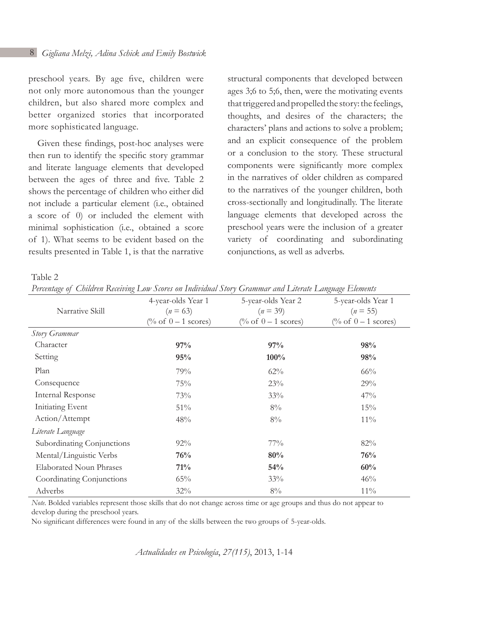preschool years. By age five, children were not only more autonomous than the younger children, but also shared more complex and better organized stories that incorporated more sophisticated language.

Given these findings, post-hoc analyses were then run to identify the specific story grammar and literate language elements that developed between the ages of three and five. Table 2 shows the percentage of children who either did not include a particular element (i.e., obtained a score of 0) or included the element with minimal sophistication (i.e., obtained a score of 1). What seems to be evident based on the results presented in Table 1, is that the narrative

structural components that developed between ages 3;6 to 5;6, then, were the motivating events that triggered and propelled the story: the feelings, thoughts, and desires of the characters; the characters' plans and actions to solve a problem; and an explicit consequence of the problem or a conclusion to the story. These structural components were significantly more complex in the narratives of older children as compared to the narratives of the younger children, both cross-sectionally and longitudinally. The literate language elements that developed across the preschool years were the inclusion of a greater variety of coordinating and subordinating conjunctions, as well as adverbs.

Table 2

| Narrative Skill                | 4-year-olds Year 1<br>$(n = 63)$ | 5-year-olds Year 2<br>$(n = 39)$ | 5-year-olds Year 1<br>$(n = 55)$ |
|--------------------------------|----------------------------------|----------------------------------|----------------------------------|
|                                | (% of $0 - 1$ scores)            | (% of $0-1$ scores)              | (% of $0 - 1$ scores)            |
| Story Grammar                  |                                  |                                  |                                  |
| Character                      | 97%                              | 97%                              | 98%                              |
| Setting                        | 95%                              | 100%                             | 98%                              |
| Plan                           | 79%                              | $62\%$                           | 66%                              |
| Consequence                    | 75%                              | 23%                              | 29%                              |
| <b>Internal Response</b>       | 73%                              | 33%                              | 47%                              |
| <b>Initiating Event</b>        | 51%                              | $8\%$                            | 15%                              |
| Action/Attempt                 | 48%                              | $8\%$                            | $11\%$                           |
| Literate Language              |                                  |                                  |                                  |
| Subordinating Conjunctions     | $92\%$                           | $77\%$                           | 82%                              |
| Mental/Linguistic Verbs        | 76%                              | 80%                              | 76%                              |
| <b>Elaborated Noun Phrases</b> | 71%                              | 54%                              | 60%                              |
| Coordinating Conjunctions      | 65%                              | 33%                              | 46%                              |
| Adverbs                        | 32%                              | $8\%$                            | $11\%$                           |

*Percentage of Children Receiving Low Scores on Individual Story Grammar and Literate Language Elements*

*Note.* Bolded variables represent those skills that do not change across time or age groups and thus do not appear to develop during the preschool years.

No significant differences were found in any of the skills between the two groups of 5-year-olds.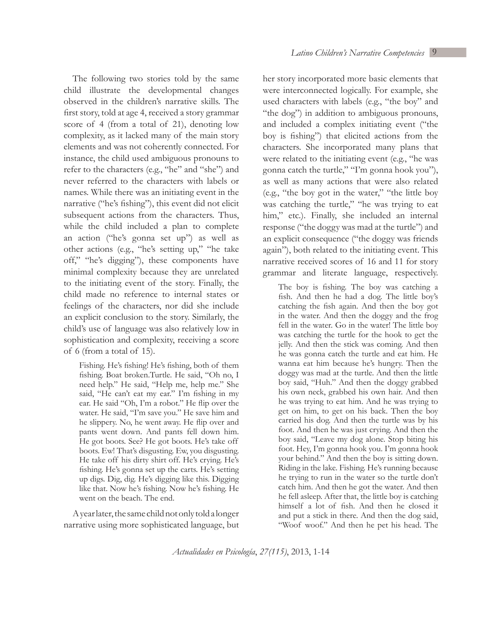The following two stories told by the same child illustrate the developmental changes observed in the children's narrative skills. The first story, told at age 4, received a story grammar score of 4 (from a total of 21), denoting low complexity, as it lacked many of the main story elements and was not coherently connected. For instance, the child used ambiguous pronouns to refer to the characters (e.g., "he" and "she") and never referred to the characters with labels or names. While there was an initiating event in the narrative ("he's fishing"), this event did not elicit subsequent actions from the characters. Thus, while the child included a plan to complete an action ("he's gonna set up") as well as other actions (e.g., "he's setting up," "he take off," "he's digging"), these components have minimal complexity because they are unrelated to the initiating event of the story. Finally, the child made no reference to internal states or feelings of the characters, nor did she include an explicit conclusion to the story. Similarly, the child's use of language was also relatively low in sophistication and complexity, receiving a score of 6 (from a total of 15).

Fishing. He's fishing! He's fishing, both of them fishing. Boat broken.Turtle. He said, "Oh no, I need help." He said, "Help me, help me." She said, "He can't eat my ear." I'm fishing in my ear. He said "Oh, I'm a robot." He flip over the water. He said, "I'm save you." He save him and he slippery. No, he went away. He flip over and pants went down. And pants fell down him. He got boots. See? He got boots. He's take off boots. Ew! That's disgusting. Ew, you disgusting. He take off his dirty shirt off. He's crying. He's fishing. He's gonna set up the carts. He's setting up digs. Dig, dig. He's digging like this. Digging like that. Now he's fishing. Now he's fishing. He went on the beach. The end.

A year later, the same child not only told a longer narrative using more sophisticated language, but her story incorporated more basic elements that were interconnected logically. For example, she used characters with labels (e.g., "the boy" and "the dog") in addition to ambiguous pronouns, and included a complex initiating event ("the boy is fishing") that elicited actions from the characters. She incorporated many plans that were related to the initiating event (e.g., "he was gonna catch the turtle," "I'm gonna hook you"), as well as many actions that were also related (e.g., "the boy got in the water," "the little boy was catching the turtle," "he was trying to eat him," etc.). Finally, she included an internal response ("the doggy was mad at the turtle") and an explicit consequence ("the doggy was friends again"), both related to the initiating event. This narrative received scores of 16 and 11 for story grammar and literate language, respectively.

The boy is fishing. The boy was catching a fish. And then he had a dog. The little boy's catching the fish again. And then the boy got in the water. And then the doggy and the frog fell in the water. Go in the water! The little boy was catching the turtle for the hook to get the jelly. And then the stick was coming. And then he was gonna catch the turtle and eat him. He wanna eat him because he's hungry. Then the doggy was mad at the turtle. And then the little boy said, "Huh." And then the doggy grabbed his own neck, grabbed his own hair. And then he was trying to eat him. And he was trying to get on him, to get on his back. Then the boy carried his dog. And then the turtle was by his foot. And then he was just crying. And then the boy said, "Leave my dog alone. Stop biting his foot. Hey, I'm gonna hook you. I'm gonna hook your behind." And then the boy is sitting down. Riding in the lake. Fishing. He's running because he trying to run in the water so the turtle don't catch him. And then he got the water. And then he fell asleep. After that, the little boy is catching himself a lot of fish. And then he closed it and put a stick in there. And then the dog said, "Woof woof." And then he pet his head. The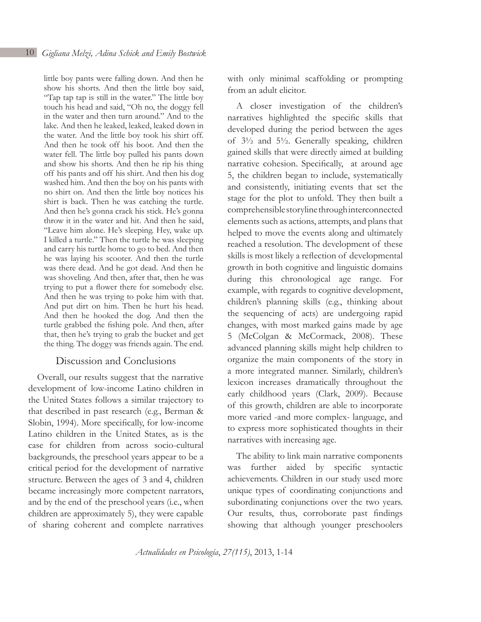little boy pants were falling down. And then he show his shorts. And then the little boy said, "Tap tap tap is still in the water." The little boy touch his head and said, "Oh no, the doggy fell in the water and then turn around." And to the lake. And then he leaked, leaked, leaked down in the water. And the little boy took his shirt off. And then he took off his boot. And then the water fell. The little boy pulled his pants down and show his shorts. And then he rip his thing off his pants and off his shirt. And then his dog washed him. And then the boy on his pants with no shirt on. And then the little boy notices his shirt is back. Then he was catching the turtle. And then he's gonna crack his stick. He's gonna throw it in the water and hit. And then he said, "Leave him alone. He's sleeping. Hey, wake up. I killed a turtle." Then the turtle he was sleeping and carry his turtle home to go to bed. And then he was laying his scooter. And then the turtle was there dead. And he got dead. And then he was shoveling. And then, after that, then he was trying to put a flower there for somebody else. And then he was trying to poke him with that. And put dirt on him. Then he hurt his head. And then he hooked the dog. And then the turtle grabbed the fishing pole. And then, after that, then he's trying to grab the bucket and get the thing. The doggy was friends again. The end.

### Discussion and Conclusions

Overall, our results suggest that the narrative development of low-income Latino children in the United States follows a similar trajectory to that described in past research (e.g., Berman & Slobin, 1994). More specifically, for low-income Latino children in the United States, as is the case for children from across socio-cultural backgrounds, the preschool years appear to be a critical period for the development of narrative structure. Between the ages of 3 and 4, children became increasingly more competent narrators, and by the end of the preschool years (i.e., when children are approximately 5), they were capable of sharing coherent and complete narratives

with only minimal scaffolding or prompting from an adult elicitor.

A closer investigation of the children's narratives highlighted the specific skills that developed during the period between the ages of 3½ and 5½. Generally speaking, children gained skills that were directly aimed at building narrative cohesion. Specifically, at around age 5, the children began to include, systematically and consistently, initiating events that set the stage for the plot to unfold. They then built a comprehensible storyline through interconnected elements such as actions, attempts, and plans that helped to move the events along and ultimately reached a resolution. The development of these skills is most likely a reflection of developmental growth in both cognitive and linguistic domains during this chronological age range. For example, with regards to cognitive development, children's planning skills (e.g., thinking about the sequencing of acts) are undergoing rapid changes, with most marked gains made by age 5 (McColgan & McCormack, 2008). These advanced planning skills might help children to organize the main components of the story in a more integrated manner. Similarly, children's lexicon increases dramatically throughout the early childhood years (Clark, 2009). Because of this growth, children are able to incorporate more varied -and more complex- language, and to express more sophisticated thoughts in their narratives with increasing age.

The ability to link main narrative components was further aided by specific syntactic achievements. Children in our study used more unique types of coordinating conjunctions and subordinating conjunctions over the two years. Our results, thus, corroborate past findings showing that although younger preschoolers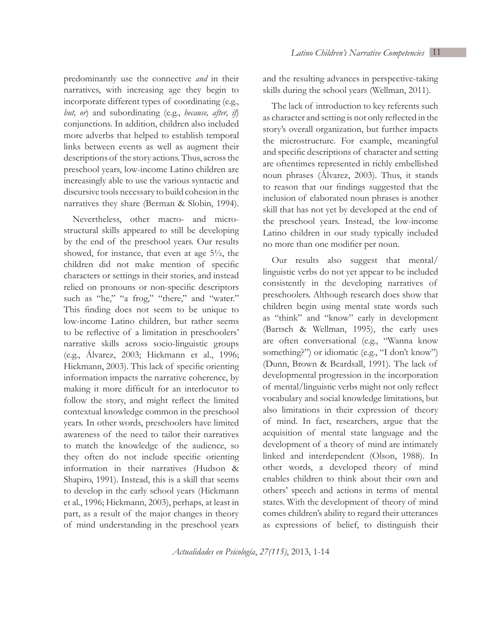predominantly use the connective *and* in their narratives, with increasing age they begin to incorporate different types of coordinating (e.g., *but, or*) and subordinating (e.g., *because, after, if*) conjunctions. In addition, children also included more adverbs that helped to establish temporal links between events as well as augment their descriptions of the story actions. Thus, across the preschool years, low-income Latino children are increasingly able to use the various syntactic and discursive tools necessary to build cohesion in the narratives they share (Berman & Slobin, 1994).

Nevertheless, other macro- and microstructural skills appeared to still be developing by the end of the preschool years. Our results showed, for instance, that even at age 5½, the children did not make mention of specific characters or settings in their stories, and instead relied on pronouns or non-specific descriptors such as "he," "a frog," "there," and "water." This finding does not seem to be unique to low-income Latino children, but rather seems to be reflective of a limitation in preschoolers' narrative skills across socio-linguistic groups (e.g., Álvarez, 2003; Hickmann et al., 1996; Hickmann, 2003). This lack of specific orienting information impacts the narrative coherence, by making it more difficult for an interlocutor to follow the story, and might reflect the limited contextual knowledge common in the preschool years. In other words, preschoolers have limited awareness of the need to tailor their narratives to match the knowledge of the audience, so they often do not include specific orienting information in their narratives (Hudson & Shapiro, 1991). Instead, this is a skill that seems to develop in the early school years (Hickmann et al., 1996; Hickmann, 2003), perhaps, at least in part, as a result of the major changes in theory of mind understanding in the preschool years

and the resulting advances in perspective-taking skills during the school years (Wellman, 2011).

The lack of introduction to key referents such as character and setting is not only reflected in the story's overall organization, but further impacts the microstructure. For example, meaningful and specific descriptions of character and setting are oftentimes represented in richly embellished noun phrases (Álvarez, 2003). Thus, it stands to reason that our findings suggested that the inclusion of elaborated noun phrases is another skill that has not yet by developed at the end of the preschool years. Instead, the low-income Latino children in our study typically included no more than one modifier per noun.

Our results also suggest that mental/ linguistic verbs do not yet appear to be included consistently in the developing narratives of preschoolers. Although research does show that children begin using mental state words such as "think" and "know" early in development (Bartsch & Wellman, 1995), the early uses are often conversational (e.g., "Wanna know something?") or idiomatic (e.g., "I don't know") (Dunn, Brown & Beardsall, 1991). The lack of developmental progression in the incorporation of mental/linguistic verbs might not only reflect vocabulary and social knowledge limitations, but also limitations in their expression of theory of mind. In fact, researchers, argue that the acquisition of mental state language and the development of a theory of mind are intimately linked and interdependent (Olson, 1988). In other words, a developed theory of mind enables children to think about their own and others' speech and actions in terms of mental states. With the development of theory of mind comes children's ability to regard their utterances as expressions of belief, to distinguish their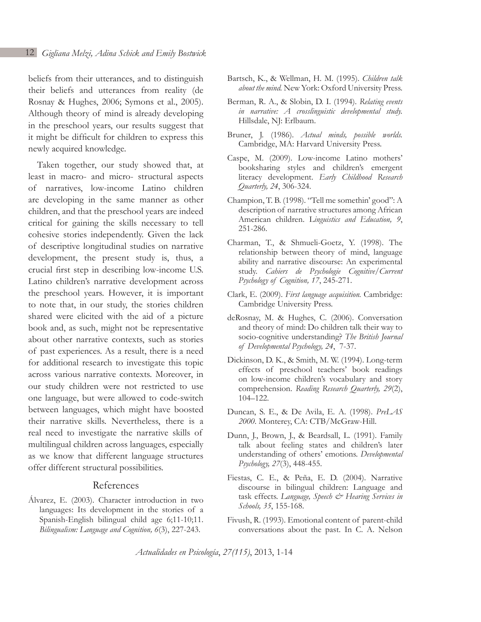beliefs from their utterances, and to distinguish their beliefs and utterances from reality (de Rosnay & Hughes, 2006; Symons et al., 2005). Although theory of mind is already developing in the preschool years, our results suggest that it might be difficult for children to express this newly acquired knowledge.

Taken together, our study showed that, at least in macro- and micro- structural aspects of narratives, low-income Latino children are developing in the same manner as other children, and that the preschool years are indeed critical for gaining the skills necessary to tell cohesive stories independently. Given the lack of descriptive longitudinal studies on narrative development, the present study is, thus, a crucial first step in describing low-income U.S. Latino children's narrative development across the preschool years. However, it is important to note that, in our study, the stories children shared were elicited with the aid of a picture book and, as such, might not be representative about other narrative contexts, such as stories of past experiences. As a result, there is a need for additional research to investigate this topic across various narrative contexts. Moreover, in our study children were not restricted to use one language, but were allowed to code-switch between languages, which might have boosted their narrative skills. Nevertheless, there is a real need to investigate the narrative skills of multilingual children across languages, especially as we know that different language structures offer different structural possibilities.

### References

Álvarez, E. (2003). Character introduction in two languages: Its development in the stories of a Spanish-English bilingual child age 6;11-10;11. *Bilingualism: Language and Cognition, 6*(3), 227-243.

- Bartsch, K., & Wellman, H. M. (1995). *Children talk about the mind.* New York: Oxford University Press.
- Berman, R. A., & Slobin, D. I. (1994). *Relating events in narrative: A crosslinguistic developmental study.*  Hillsdale, NJ: Erlbaum.
- Bruner, J. (1986). *Actual minds, possible worlds.*  Cambridge, MA: Harvard University Press.
- Caspe, M. (2009). Low-income Latino mothers' booksharing styles and children's emergent literacy development. *Early Childhood Research Quarterly, 24*, 306-324.
- Champion, T. B. (1998). "Tell me somethin' good": A description of narrative structures among African American children. L*inguistics and Education, 9*, 251-286.
- Charman, T., & Shmueli-Goetz, Y. (1998). The relationship between theory of mind, language ability and narrative discourse: An experimental study. *Cahiers de Psychologie Cognitive/Current Psychology of Cognition, 17*, 245-271.
- Clark, E. (2009). *First language acquisition.* Cambridge: Cambridge University Press.
- deRosnay, M. & Hughes, C. (2006). Conversation and theory of mind: Do children talk their way to socio-cognitive understanding? *The British Journal of Developmental Psychology, 24*, 7-37.
- Dickinson, D. K., & Smith, M. W. (1994). Long-term effects of preschool teachers' book readings on low-income children's vocabulary and story comprehension. *Reading Research Quarterly, 29*(2), 104–122.
- Duncan, S. E., & De Avila, E. A. (1998). *PreLAS 2000*. Monterey, CA: CTB/McGraw-Hill.
- Dunn, J., Brown, J., & Beardsall, L. (1991). Family talk about feeling states and children's later understanding of others' emotions. *Developmental Psychology, 27*(3), 448-455.
- Fiestas, C. E., & Peña, E. D. (2004). Narrative discourse in bilingual children: Language and task effects. *Language, Speech & Hearing Services in Schools, 35*, 155-168.
- Fivush, R. (1993). Emotional content of parent-child conversations about the past. In C. A. Nelson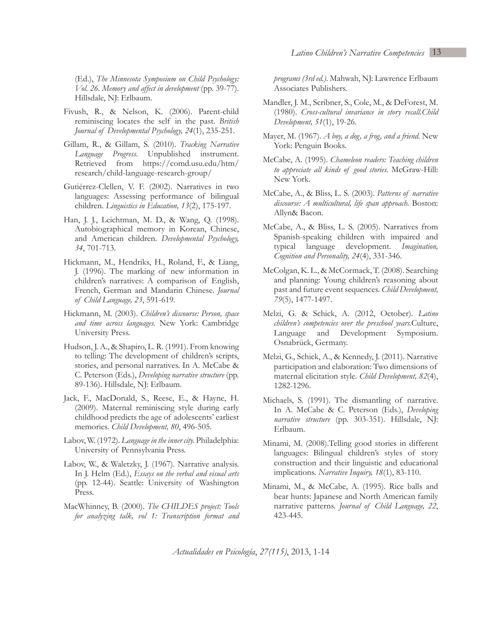(Ed.), *The Minnesota Symposium on Child Psychology: Vol. 26. Memory and affect in development* (pp. 39-77). Hillsdale, NJ: Erlbaum.

- Fivush, R., & Nelson, K. (2006). Parent-child reminiscing locates the self in the past. *British Journal of Developmental Psychology, 24*(1), 235-251.
- Gillam, R., & Gillam, S. (2010). *Tracking Narrative Language Progress*. Unpublished instrument. Retrieved from https://comd.usu.edu/htm/ research/child-language-research-group/
- Gutiérrez-Clellen, V. F. (2002). Narratives in two languages: Assessing performance of bilingual children. *Linguistics in Education, 13*(2), 175-197.
- Han, J. J., Leichtman, M. D., & Wang, Q. (1998). Autobiographical memory in Korean, Chinese, and American children. *Developmental Psychology, 34*, 701-713.
- Hickmann, M., Hendriks, H., Roland, F., & Liang, J. (1996). The marking of new information in children's narratives: A comparison of English, French, German and Mandarin Chinese. *Journal of Child Language, 23*, 591-619.
- Hickmann, M. (2003). *Children's discourse: Person, space and time across languages.* New York: Cambridge University Press.
- Hudson, J. A., & Shapiro, L. R. (1991). From knowing to telling: The development of children's scripts, stories, and personal narratives. In A. McCabe & C. Peterson (Eds.), *Developing narrative structure* (pp. 89-136). Hillsdale, NJ: Erlbaum.
- Jack, F., MacDonald, S., Reese, E., & Hayne, H. (2009). Maternal reminiscing style during early childhood predicts the age of adolescents' earliest memories. *Child Development, 80*, 496-505.
- Labov, W. (1972). *Language in the inner city.* Philadelphia: University of Pennsylvania Press.
- Labov, W., & Waletzky, J. (1967). Narrative analysis. In J. Helm (Ed.), *Essays on the verbal and visual arts* (pp. 12-44). Seattle: University of Washington Press.
- MacWhinney, B. (2000). *The CHILDES project: Tools for analyzing talk, vol 1: Transcription format and*

*programs (3rd ed.)*. Mahwah, NJ: Lawrence Erlbaum Associates Publishers.

- Mandler, J. M., Scribner, S., Cole, M., & DeForest, M. (1980). *Cross-cultural invariance in story recall.Child Development, 51*(1), 19-26.
- Mayer, M. (1967). *A boy, a dog, a frog, and a friend.* New York: Penguin Books.
- McCabe, A. (1995). *Chameleon readers: Teaching children to appreciate all kinds of good stories.* McGraw-Hill: New York.
- McCabe, A., & Bliss, L. S. (2003). *Patterns of narrative discourse: A multicultural, life span approach.* Boston: Allyn& Bacon.
- McCabe, A., & Bliss, L. S. (2005). Narratives from Spanish-speaking children with impaired and typical language development. *Imagination, Cognition and Personality, 24*(4), 331-346.
- McColgan, K. L., & McCormack, T. (2008). Searching and planning: Young children's reasoning about past and future event sequences. *Child Development, 79*(5), 1477-1497.
- Melzi, G. & Schick, A. (2012, October). *Latino children's competencies over the preschool years.*Culture, Language and Development Symposium. Osnabrück, Germany.
- Melzi, G., Schick, A., & Kennedy, J. (2011). Narrative participation and elaboration: Two dimensions of maternal elicitation style. *Child Development, 82*(4), 1282-1296.
- Michaels, S. (1991). The dismantling of narrative. In A. McCabe & C. Peterson (Eds.), *Developing narrative structure* (pp. 303-351). Hillsdale, NJ: Erlbaum.
- Minami, M. (2008).Telling good stories in different languages: Bilingual children's styles of story construction and their linguistic and educational implications. *Narrative Inquiry, 18*(1), 83-110.
- Minami, M., & McCabe, A. (1995). Rice balls and bear hunts: Japanese and North American family narrative patterns. *Journal of Child Language, 22*, 423-445.